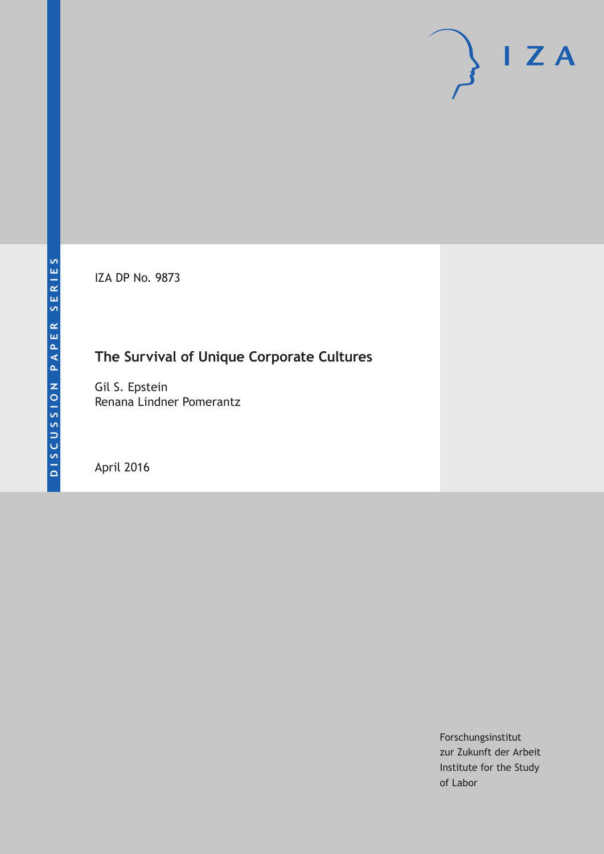IZA DP No. 9873

## **The Survival of Unique Corporate Cultures**

Gil S. Epstein Renana Lindner Pomerantz

April 2016

Forschungsinstitut zur Zukunft der Arbeit Institute for the Study of Labor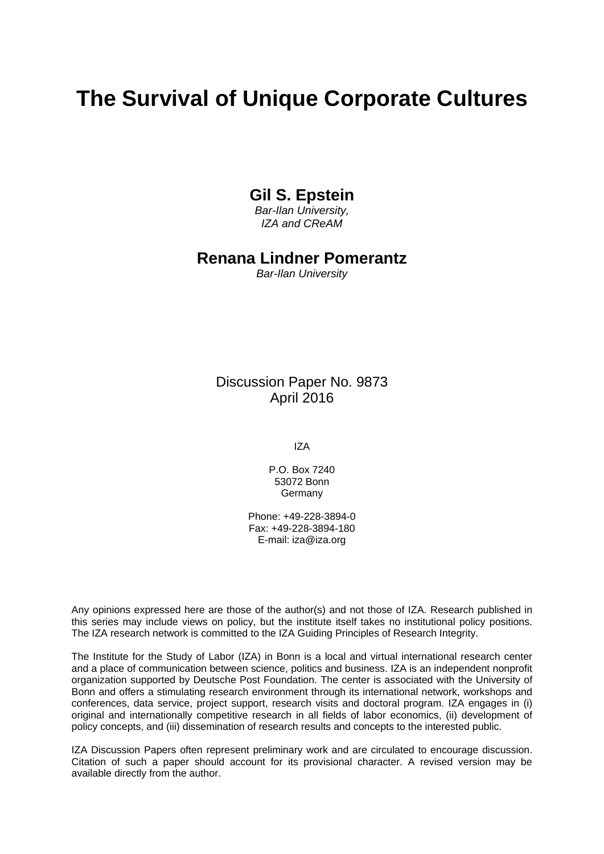# **The Survival of Unique Corporate Cultures**

## **Gil S. Epstein**

*Bar-Ilan University, IZA and CReAM* 

## **Renana Lindner Pomerantz**

*Bar-Ilan University* 

Discussion Paper No. 9873 April 2016

IZA

P.O. Box 7240 53072 Bonn **Germany** 

Phone: +49-228-3894-0 Fax: +49-228-3894-180 E-mail: iza@iza.org

Any opinions expressed here are those of the author(s) and not those of IZA. Research published in this series may include views on policy, but the institute itself takes no institutional policy positions. The IZA research network is committed to the IZA Guiding Principles of Research Integrity.

The Institute for the Study of Labor (IZA) in Bonn is a local and virtual international research center and a place of communication between science, politics and business. IZA is an independent nonprofit organization supported by Deutsche Post Foundation. The center is associated with the University of Bonn and offers a stimulating research environment through its international network, workshops and conferences, data service, project support, research visits and doctoral program. IZA engages in (i) original and internationally competitive research in all fields of labor economics, (ii) development of policy concepts, and (iii) dissemination of research results and concepts to the interested public.

IZA Discussion Papers often represent preliminary work and are circulated to encourage discussion. Citation of such a paper should account for its provisional character. A revised version may be available directly from the author.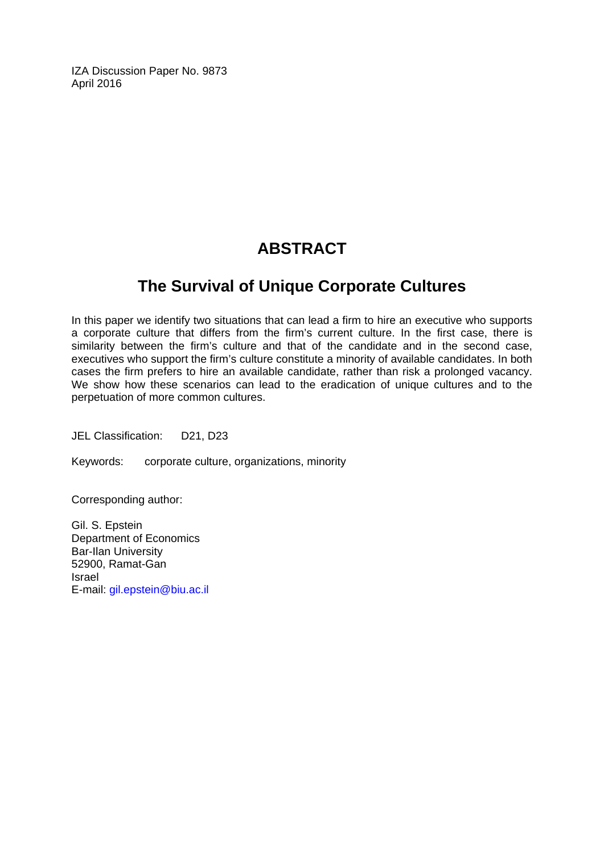IZA Discussion Paper No. 9873 April 2016

## **ABSTRACT**

## **The Survival of Unique Corporate Cultures**

In this paper we identify two situations that can lead a firm to hire an executive who supports a corporate culture that differs from the firm's current culture. In the first case, there is similarity between the firm's culture and that of the candidate and in the second case, executives who support the firm's culture constitute a minority of available candidates. In both cases the firm prefers to hire an available candidate, rather than risk a prolonged vacancy. We show how these scenarios can lead to the eradication of unique cultures and to the perpetuation of more common cultures.

JEL Classification: D21, D23

Keywords: corporate culture, organizations, minority

Corresponding author:

Gil. S. Epstein Department of Economics Bar-Ilan University 52900, Ramat-Gan Israel E-mail: gil.epstein@biu.ac.il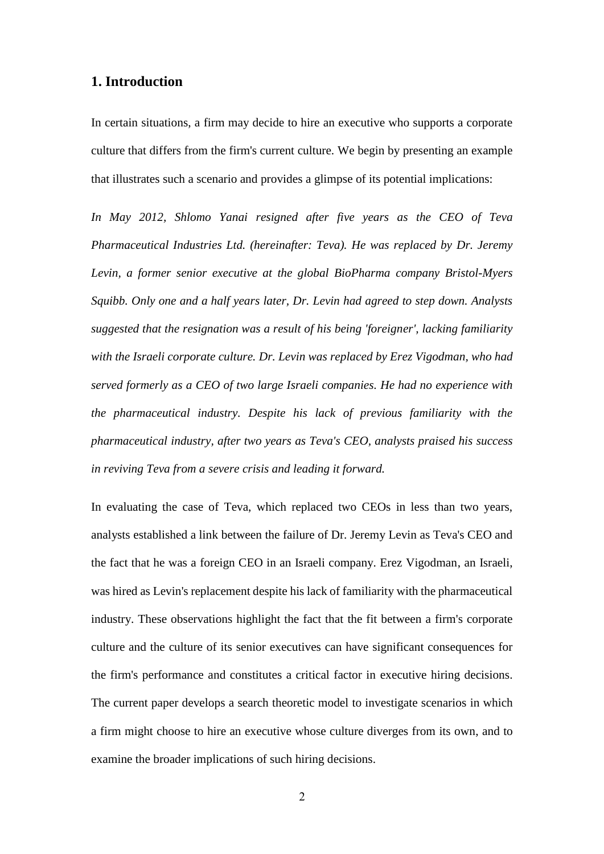#### **1. Introduction**

In certain situations, a firm may decide to hire an executive who supports a corporate culture that differs from the firm's current culture. We begin by presenting an example that illustrates such a scenario and provides a glimpse of its potential implications:

*In May 2012, Shlomo Yanai resigned after five years as the CEO of Teva Pharmaceutical Industries Ltd. (hereinafter: Teva). He was replaced by Dr. Jeremy Levin, a former senior executive at the global BioPharma company Bristol-Myers Squibb. Only one and a half years later, Dr. Levin had agreed to step down. Analysts suggested that the resignation was a result of his being 'foreigner', lacking familiarity with the Israeli corporate culture. Dr. Levin was replaced by Erez Vigodman, who had served formerly as a CEO of two large Israeli companies. He had no experience with the pharmaceutical industry. Despite his lack of previous familiarity with the pharmaceutical industry, after two years as Teva's CEO, analysts praised his success in reviving Teva from a severe crisis and leading it forward.*

In evaluating the case of Teva, which replaced two CEOs in less than two years, analysts established a link between the failure of Dr. Jeremy Levin as Teva's CEO and the fact that he was a foreign CEO in an Israeli company. Erez Vigodman, an Israeli, was hired as Levin's replacement despite his lack of familiarity with the pharmaceutical industry. These observations highlight the fact that the fit between a firm's corporate culture and the culture of its senior executives can have significant consequences for the firm's performance and constitutes a critical factor in executive hiring decisions. The current paper develops a search theoretic model to investigate scenarios in which a firm might choose to hire an executive whose culture diverges from its own, and to examine the broader implications of such hiring decisions.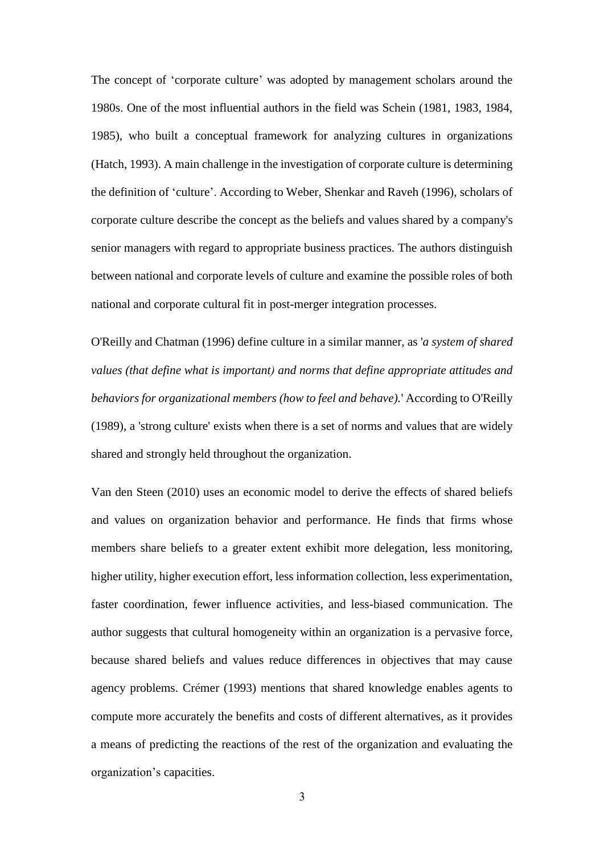The concept of 'corporate culture' was adopted by management scholars around the 1980s. One of the most influential authors in the field was Schein (1981, 1983, 1984, 1985), who built a conceptual framework for analyzing cultures in organizations (Hatch, 1993). A main challenge in the investigation of corporate culture is determining the definition of 'culture'. According to Weber, Shenkar and Raveh (1996), scholars of corporate culture describe the concept as the beliefs and values shared by a company's senior managers with regard to appropriate business practices. The authors distinguish between national and corporate levels of culture and examine the possible roles of both national and corporate cultural fit in post-merger integration processes.

O'Reilly and Chatman (1996) define culture in a similar manner, as '*a system of shared values (that define what is important) and norms that define appropriate attitudes and behaviors for organizational members (how to feel and behave).*' According to O'Reilly (1989), a 'strong culture' exists when there is a set of norms and values that are widely shared and strongly held throughout the organization.

Van den Steen (2010) uses an economic model to derive the effects of shared beliefs and values on organization behavior and performance. He finds that firms whose members share beliefs to a greater extent exhibit more delegation, less monitoring, higher utility, higher execution effort, less information collection, less experimentation, faster coordination, fewer influence activities, and less-biased communication. The author suggests that cultural homogeneity within an organization is a pervasive force, because shared beliefs and values reduce differences in objectives that may cause agency problems. Crémer (1993) mentions that shared knowledge enables agents to compute more accurately the benefits and costs of different alternatives, as it provides a means of predicting the reactions of the rest of the organization and evaluating the organization's capacities.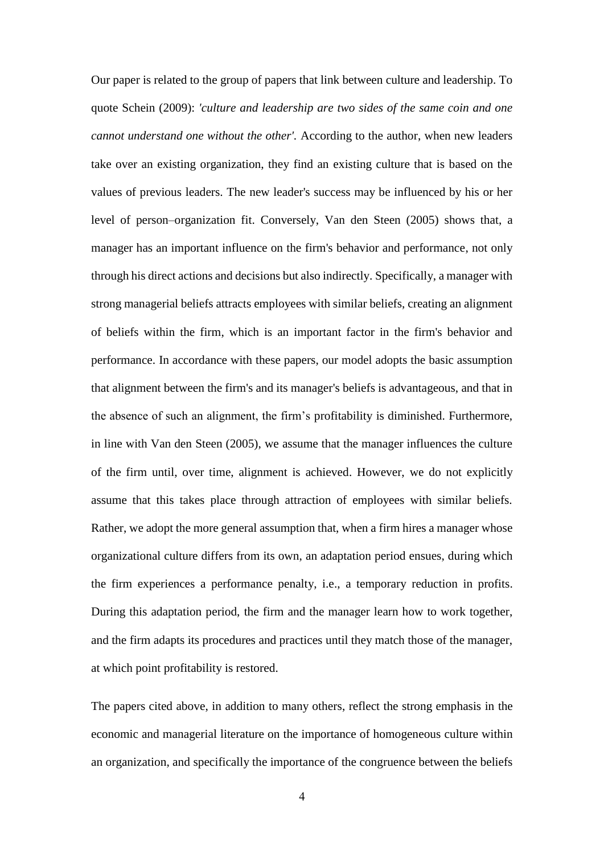Our paper is related to the group of papers that link between culture and leadership. To quote Schein (2009): *'culture and leadership are two sides of the same coin and one cannot understand one without the other'.* According to the author, when new leaders take over an existing organization, they find an existing culture that is based on the values of previous leaders. The new leader's success may be influenced by his or her level of person–organization fit. Conversely, Van den Steen (2005) shows that, a manager has an important influence on the firm's behavior and performance, not only through his direct actions and decisions but also indirectly. Specifically, a manager with strong managerial beliefs attracts employees with similar beliefs, creating an alignment of beliefs within the firm, which is an important factor in the firm's behavior and performance. In accordance with these papers, our model adopts the basic assumption that alignment between the firm's and its manager's beliefs is advantageous, and that in the absence of such an alignment, the firm's profitability is diminished. Furthermore, in line with Van den Steen (2005), we assume that the manager influences the culture of the firm until, over time, alignment is achieved. However, we do not explicitly assume that this takes place through attraction of employees with similar beliefs. Rather, we adopt the more general assumption that, when a firm hires a manager whose organizational culture differs from its own, an adaptation period ensues, during which the firm experiences a performance penalty, i.e., a temporary reduction in profits. During this adaptation period, the firm and the manager learn how to work together, and the firm adapts its procedures and practices until they match those of the manager, at which point profitability is restored.

The papers cited above, in addition to many others, reflect the strong emphasis in the economic and managerial literature on the importance of homogeneous culture within an organization, and specifically the importance of the congruence between the beliefs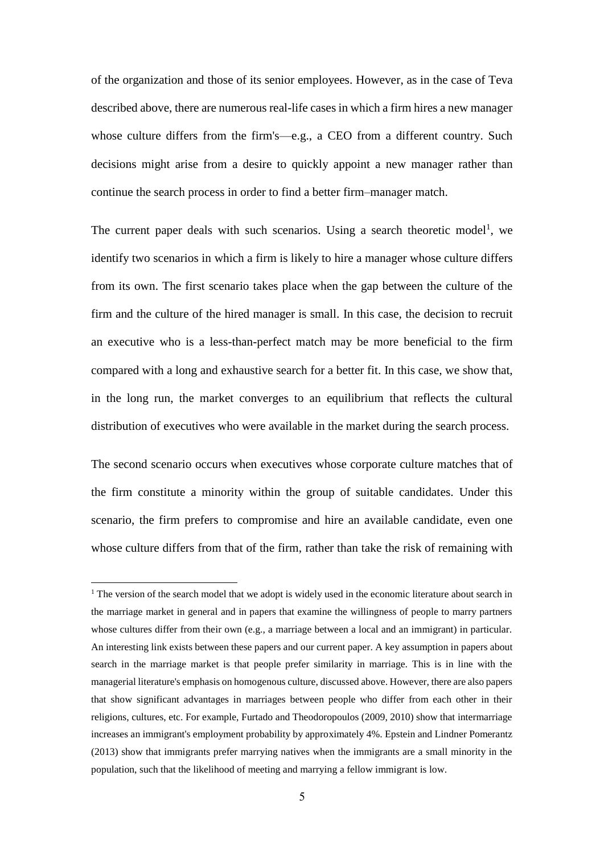of the organization and those of its senior employees. However, as in the case of Teva described above, there are numerous real-life cases in which a firm hires a new manager whose culture differs from the firm's—e.g., a CEO from a different country. Such decisions might arise from a desire to quickly appoint a new manager rather than continue the search process in order to find a better firm–manager match.

The current paper deals with such scenarios. Using a search theoretic model<sup>1</sup>, we identify two scenarios in which a firm is likely to hire a manager whose culture differs from its own. The first scenario takes place when the gap between the culture of the firm and the culture of the hired manager is small. In this case, the decision to recruit an executive who is a less-than-perfect match may be more beneficial to the firm compared with a long and exhaustive search for a better fit. In this case, we show that, in the long run, the market converges to an equilibrium that reflects the cultural distribution of executives who were available in the market during the search process.

The second scenario occurs when executives whose corporate culture matches that of the firm constitute a minority within the group of suitable candidates. Under this scenario, the firm prefers to compromise and hire an available candidate, even one whose culture differs from that of the firm, rather than take the risk of remaining with

 $\overline{a}$ 

 $1$ <sup>1</sup> The version of the search model that we adopt is widely used in the economic literature about search in the marriage market in general and in papers that examine the willingness of people to marry partners whose cultures differ from their own (e.g., a marriage between a local and an immigrant) in particular. An interesting link exists between these papers and our current paper. A key assumption in papers about search in the marriage market is that people prefer similarity in marriage. This is in line with the managerial literature's emphasis on homogenous culture, discussed above. However, there are also papers that show significant advantages in marriages between people who differ from each other in their religions, cultures, etc. For example, Furtado and Theodoropoulos (2009, 2010) show that intermarriage increases an immigrant's employment probability by approximately 4%. Epstein and Lindner Pomerantz (2013) show that immigrants prefer marrying natives when the immigrants are a small minority in the population, such that the likelihood of meeting and marrying a fellow immigrant is low.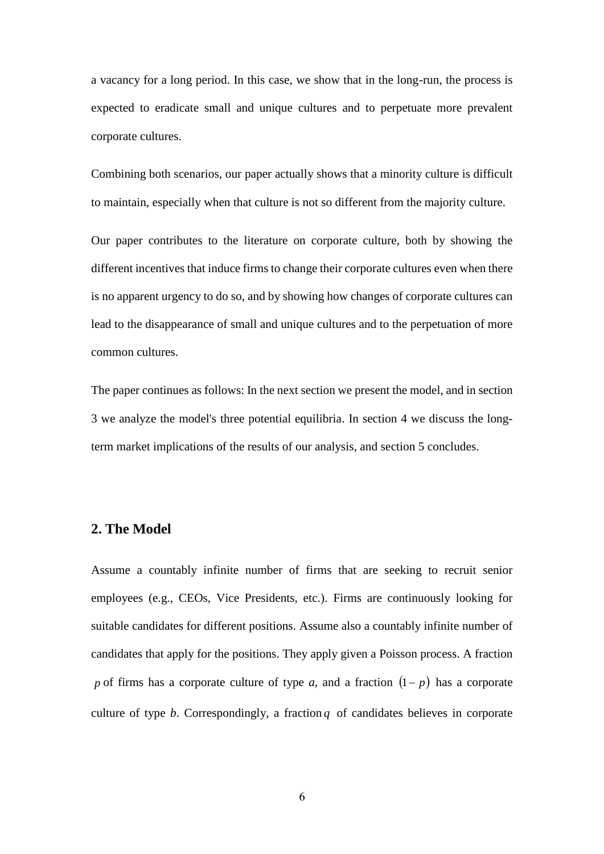a vacancy for a long period. In this case, we show that in the long-run, the process is expected to eradicate small and unique cultures and to perpetuate more prevalent corporate cultures.

Combining both scenarios, our paper actually shows that a minority culture is difficult to maintain, especially when that culture is not so different from the majority culture.

Our paper contributes to the literature on corporate culture, both by showing the different incentives that induce firms to change their corporate cultures even when there is no apparent urgency to do so, and by showing how changes of corporate cultures can lead to the disappearance of small and unique cultures and to the perpetuation of more common cultures.

The paper continues as follows: In the next section we present the model, and in section 3 we analyze the model's three potential equilibria. In section 4 we discuss the longterm market implications of the results of our analysis, and section 5 concludes.

### **2. The Model**

Assume a countably infinite number of firms that are seeking to recruit senior employees (e.g., CEOs, Vice Presidents, etc.). Firms are continuously looking for suitable candidates for different positions. Assume also a countably infinite number of candidates that apply for the positions. They apply given a Poisson process. A fraction p of firms has a corporate culture of type a, and a fraction  $(1-p)$  has a corporate culture of type  $b$ . Correspondingly, a fraction  $q$  of candidates believes in corporate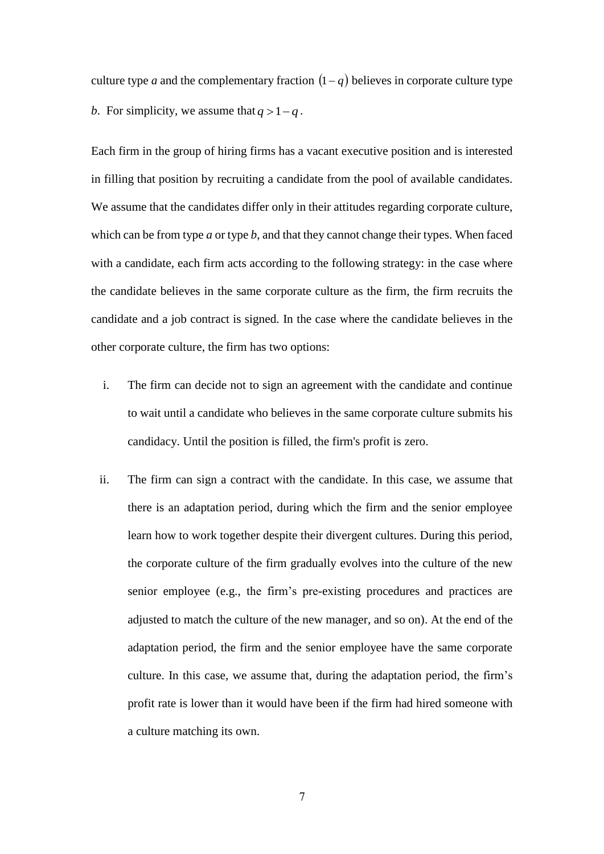culture type *a* and the complementary fraction  $(1 - q)$  believes in corporate culture type *b*. For simplicity, we assume that  $q > 1 - q$ .

Each firm in the group of hiring firms has a vacant executive position and is interested in filling that position by recruiting a candidate from the pool of available candidates. We assume that the candidates differ only in their attitudes regarding corporate culture, which can be from type *a* or type *b*, and that they cannot change their types. When faced with a candidate, each firm acts according to the following strategy: in the case where the candidate believes in the same corporate culture as the firm, the firm recruits the candidate and a job contract is signed. In the case where the candidate believes in the other corporate culture, the firm has two options:

- i. The firm can decide not to sign an agreement with the candidate and continue to wait until a candidate who believes in the same corporate culture submits his candidacy. Until the position is filled, the firm's profit is zero.
- ii. The firm can sign a contract with the candidate. In this case, we assume that there is an adaptation period, during which the firm and the senior employee learn how to work together despite their divergent cultures. During this period, the corporate culture of the firm gradually evolves into the culture of the new senior employee (e.g., the firm's pre-existing procedures and practices are adjusted to match the culture of the new manager, and so on). At the end of the adaptation period, the firm and the senior employee have the same corporate culture. In this case, we assume that, during the adaptation period, the firm's profit rate is lower than it would have been if the firm had hired someone with a culture matching its own.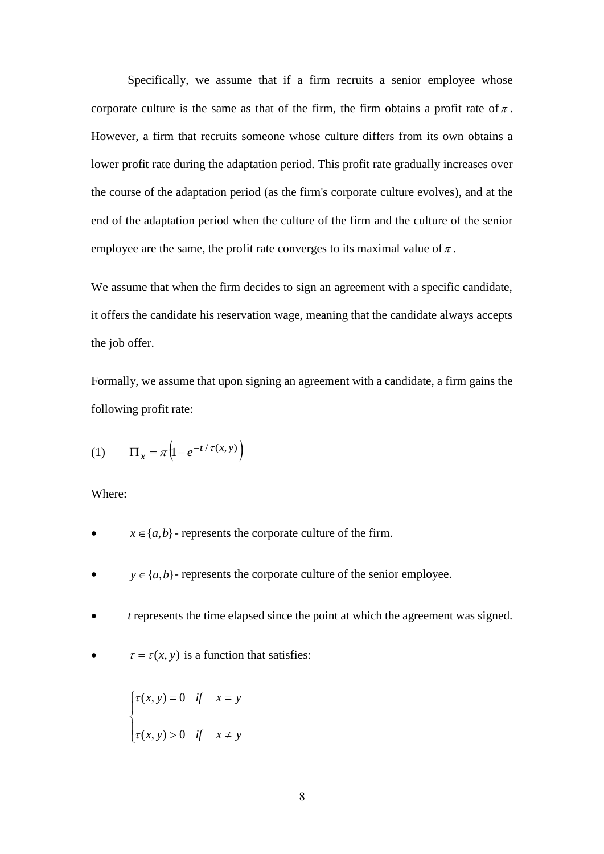Specifically, we assume that if a firm recruits a senior employee whose corporate culture is the same as that of the firm, the firm obtains a profit rate of  $\pi$ . However, a firm that recruits someone whose culture differs from its own obtains a lower profit rate during the adaptation period. This profit rate gradually increases over the course of the adaptation period (as the firm's corporate culture evolves), and at the end of the adaptation period when the culture of the firm and the culture of the senior employee are the same, the profit rate converges to its maximal value of  $\pi$ .

We assume that when the firm decides to sign an agreement with a specific candidate, it offers the candidate his reservation wage, meaning that the candidate always accepts the job offer.

Formally, we assume that upon signing an agreement with a candidate, a firm gains the following profit rate:

$$
(1) \qquad \Pi_x = \pi \Big( 1 - e^{-t/\tau(x, y)} \Big)
$$

Where:

- $x \in \{a, b\}$  represents the corporate culture of the firm.
- $y \in \{a, b\}$  represents the corporate culture of the senior employee.
- *t* represents the time elapsed since the point at which the agreement was signed.
- $\tau = \tau(x, y)$  is a function that satisfies:

$$
\begin{cases} \tau(x, y) = 0 & \text{if } x = y \\ \tau(x, y) > 0 & \text{if } x \neq y \end{cases}
$$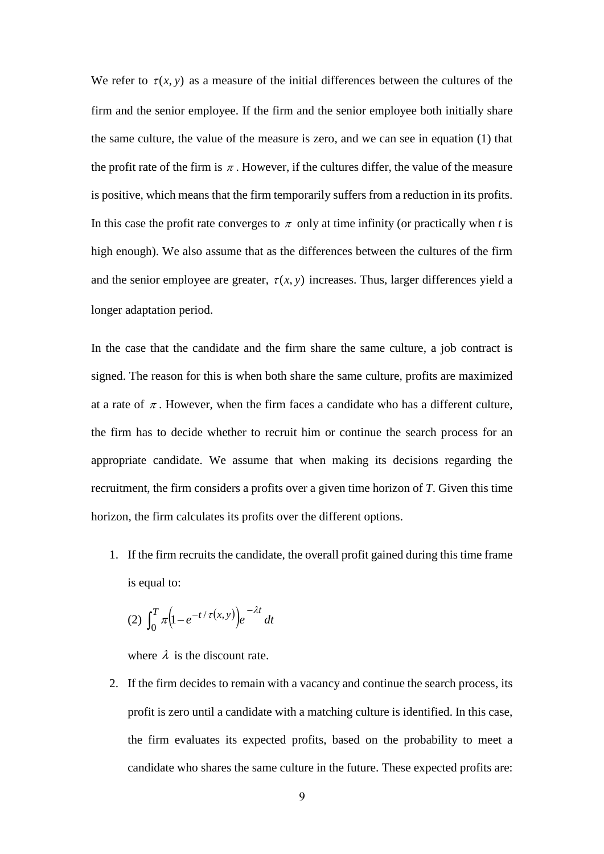We refer to  $\tau(x, y)$  as a measure of the initial differences between the cultures of the firm and the senior employee. If the firm and the senior employee both initially share the same culture, the value of the measure is zero, and we can see in equation (1) that the profit rate of the firm is  $\pi$ . However, if the cultures differ, the value of the measure is positive, which means that the firm temporarily suffers from a reduction in its profits. In this case the profit rate converges to  $\pi$  only at time infinity (or practically when *t* is high enough). We also assume that as the differences between the cultures of the firm and the senior employee are greater,  $\tau(x, y)$  increases. Thus, larger differences yield a longer adaptation period.

In the case that the candidate and the firm share the same culture, a job contract is signed. The reason for this is when both share the same culture, profits are maximized at a rate of  $\pi$ . However, when the firm faces a candidate who has a different culture, the firm has to decide whether to recruit him or continue the search process for an appropriate candidate. We assume that when making its decisions regarding the recruitment, the firm considers a profits over a given time horizon of *T*. Given this time horizon, the firm calculates its profits over the different options.

1. If the firm recruits the candidate, the overall profit gained during this time frame is equal to:

$$
(2)\int_0^T \pi \Big(1 - e^{-t/\tau(x,y)}\Big) e^{-\lambda t} dt
$$

where  $\lambda$  is the discount rate.

2. If the firm decides to remain with a vacancy and continue the search process, its profit is zero until a candidate with a matching culture is identified. In this case, the firm evaluates its expected profits, based on the probability to meet a candidate who shares the same culture in the future. These expected profits are: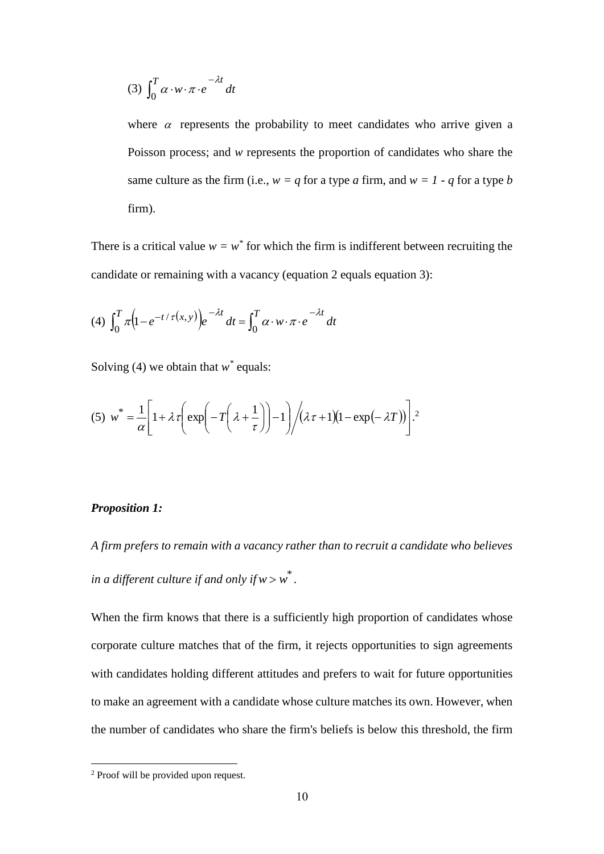$$
(3) \int_0^T \alpha \cdot w \cdot \pi \cdot e^{-\lambda t} dt
$$

where  $\alpha$  represents the probability to meet candidates who arrive given a Poisson process; and *w* represents the proportion of candidates who share the same culture as the firm (i.e.,  $w = q$  for a type *a* firm, and  $w = 1 - q$  for a type *b* firm).

There is a critical value  $w = w^*$  for which the firm is indifferent between recruiting the candidate or remaining with a vacancy (equation 2 equals equation 3):

(4) 
$$
\int_0^T \pi \left(1 - e^{-t/\tau(x, y)}\right) e^{-\lambda t} dt = \int_0^T \alpha \cdot w \cdot \pi \cdot e^{-\lambda t} dt
$$

Solving (4) we obtain that  $w^*$  equals:

$$
(5) \t w^* = \frac{1}{\alpha} \left[ 1 + \lambda \tau \left( \exp\left( -T \left( \lambda + \frac{1}{\tau} \right) \right) - 1 \right) \Big/ (\lambda \tau + 1)(1 - \exp(-\lambda T)) \right].^2
$$

#### *Proposition 1:*

*A firm prefers to remain with a vacancy rather than to recruit a candidate who believes in a different culture if and only if*  $w > w^*$ .

When the firm knows that there is a sufficiently high proportion of candidates whose corporate culture matches that of the firm, it rejects opportunities to sign agreements with candidates holding different attitudes and prefers to wait for future opportunities to make an agreement with a candidate whose culture matches its own. However, when the number of candidates who share the firm's beliefs is below this threshold, the firm

 $\overline{a}$ 

<sup>&</sup>lt;sup>2</sup> Proof will be provided upon request.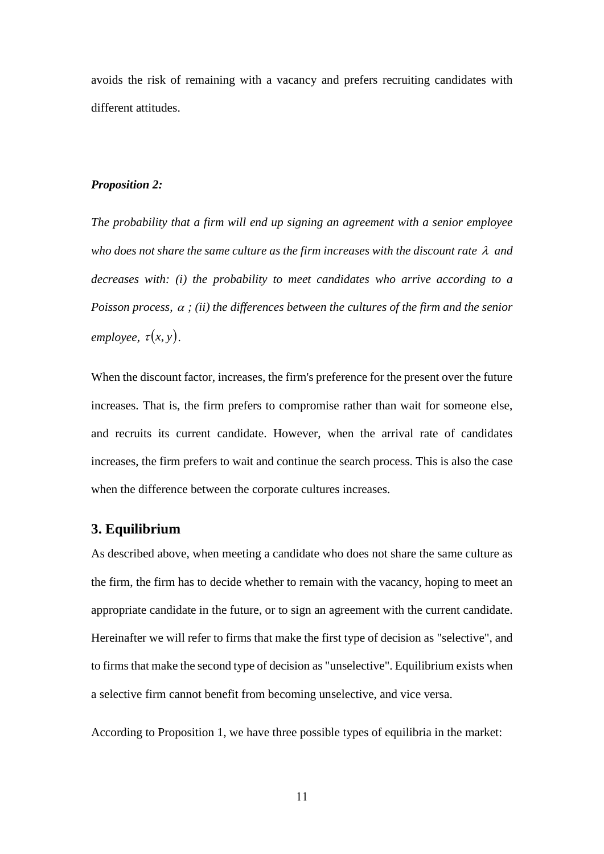avoids the risk of remaining with a vacancy and prefers recruiting candidates with different attitudes.

#### *Proposition 2:*

*The probability that a firm will end up signing an agreement with a senior employee*  who does not share the same culture as the firm increases with the discount rate  $\lambda$  and *decreases with: (i) the probability to meet candidates who arrive according to a Poisson process,*  $\alpha$ *; (ii)* the differences between the cultures of the firm and the senior *employee,*  $\tau(x, y)$ .

When the discount factor, increases, the firm's preference for the present over the future increases. That is, the firm prefers to compromise rather than wait for someone else, and recruits its current candidate. However, when the arrival rate of candidates increases, the firm prefers to wait and continue the search process. This is also the case when the difference between the corporate cultures increases.

### **3. Equilibrium**

As described above, when meeting a candidate who does not share the same culture as the firm, the firm has to decide whether to remain with the vacancy, hoping to meet an appropriate candidate in the future, or to sign an agreement with the current candidate. Hereinafter we will refer to firms that make the first type of decision as "selective", and to firms that make the second type of decision as "unselective". Equilibrium exists when a selective firm cannot benefit from becoming unselective, and vice versa.

According to Proposition 1, we have three possible types of equilibria in the market:

11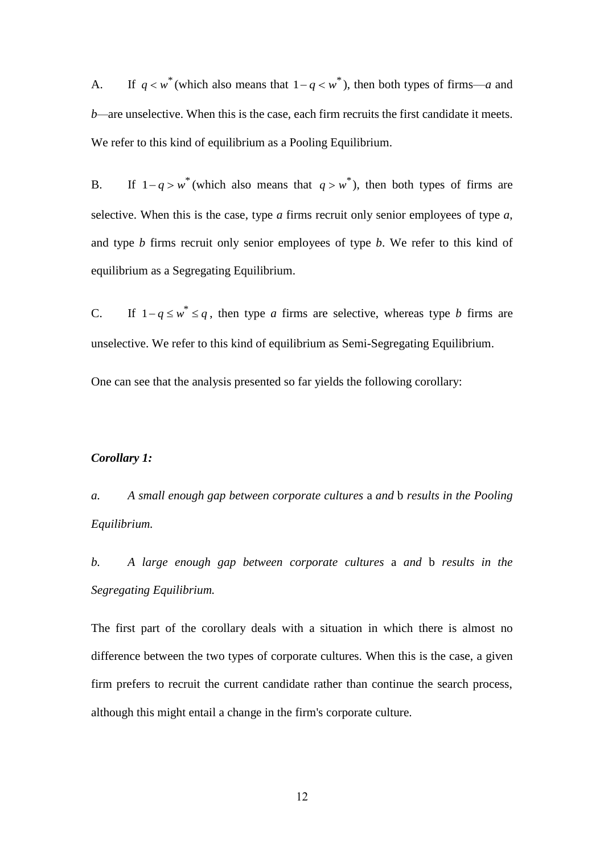A. If  $q \lt w^*$  (which also means that  $1 - q \lt w^*$ ), then both types of firms—*a* and *b—*are unselective. When this is the case, each firm recruits the first candidate it meets. We refer to this kind of equilibrium as a Pooling Equilibrium.

B. If  $1-q > w^*$  (which also means that  $q > w^*$ ), then both types of firms are selective. When this is the case, type *a* firms recruit only senior employees of type *a*, and type *b* firms recruit only senior employees of type *b*. We refer to this kind of equilibrium as a Segregating Equilibrium.

C. If  $1-q \leq w^* \leq q$ , then type *a* firms are selective, whereas type *b* firms are unselective. We refer to this kind of equilibrium as Semi-Segregating Equilibrium. One can see that the analysis presented so far yields the following corollary:

#### *Corollary 1:*

*a. A small enough gap between corporate cultures* a *and* b *results in the Pooling Equilibrium.* 

*b. A large enough gap between corporate cultures* a *and* b *results in the Segregating Equilibrium.* 

The first part of the corollary deals with a situation in which there is almost no difference between the two types of corporate cultures. When this is the case, a given firm prefers to recruit the current candidate rather than continue the search process, although this might entail a change in the firm's corporate culture.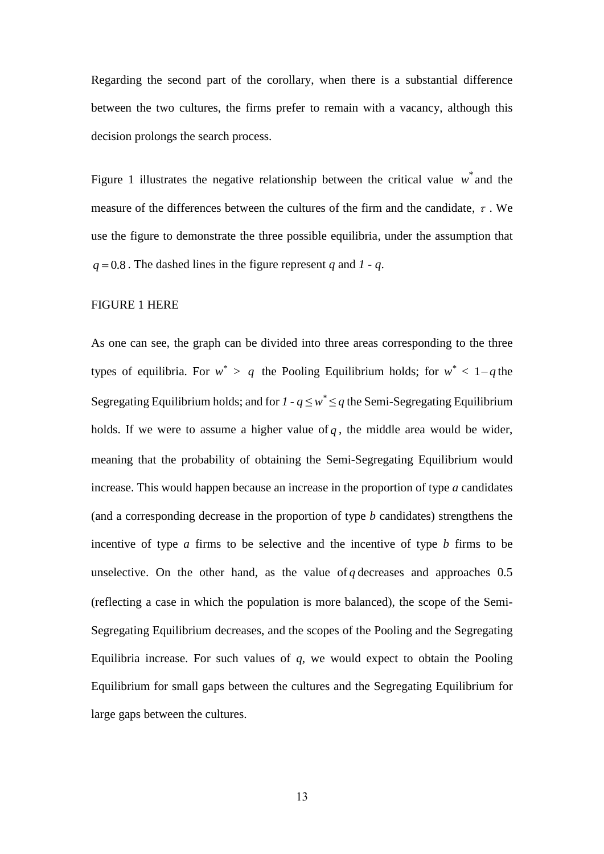Regarding the second part of the corollary, when there is a substantial difference between the two cultures, the firms prefer to remain with a vacancy, although this decision prolongs the search process.

Figure 1 illustrates the negative relationship between the critical value  $w^*$  and the measure of the differences between the cultures of the firm and the candidate,  $\tau$ . We use the figure to demonstrate the three possible equilibria, under the assumption that  $q = 0.8$ . The dashed lines in the figure represent *q* and *1 - q*.

#### FIGURE 1 HERE

As one can see, the graph can be divided into three areas corresponding to the three types of equilibria. For  $w^* > q$  the Pooling Equilibrium holds; for  $w^* < 1-q$  the Segregating Equilibrium holds; and for  $1 - q \leq w^* \leq q$  the Semi-Segregating Equilibrium holds. If we were to assume a higher value of  $q$ , the middle area would be wider, meaning that the probability of obtaining the Semi-Segregating Equilibrium would increase. This would happen because an increase in the proportion of type *a* candidates (and a corresponding decrease in the proportion of type *b* candidates) strengthens the incentive of type *a* firms to be selective and the incentive of type *b* firms to be unselective. On the other hand, as the value of  $q$  decreases and approaches  $0.5$ (reflecting a case in which the population is more balanced), the scope of the Semi-Segregating Equilibrium decreases, and the scopes of the Pooling and the Segregating Equilibria increase. For such values of  $q$ , we would expect to obtain the Pooling Equilibrium for small gaps between the cultures and the Segregating Equilibrium for large gaps between the cultures.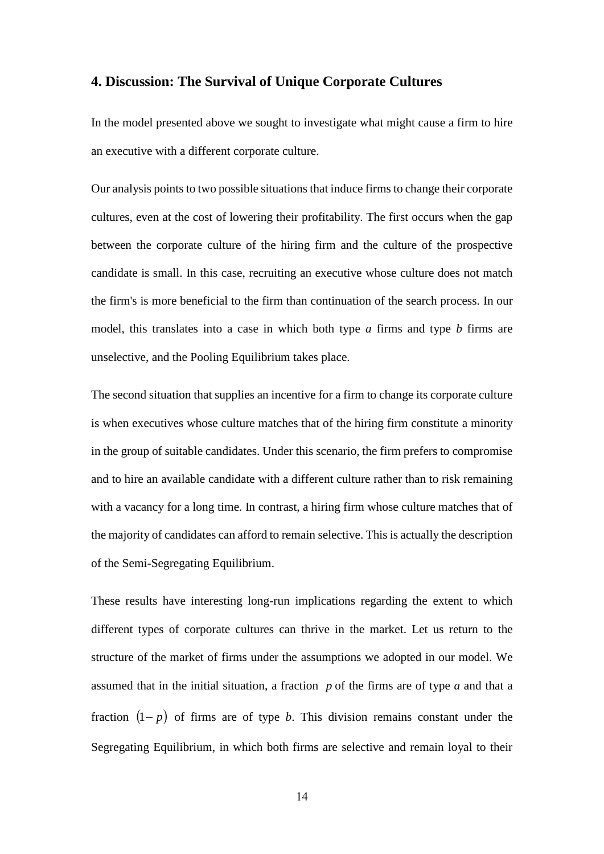#### **4. Discussion: The Survival of Unique Corporate Cultures**

In the model presented above we sought to investigate what might cause a firm to hire an executive with a different corporate culture.

Our analysis points to two possible situations that induce firms to change their corporate cultures, even at the cost of lowering their profitability. The first occurs when the gap between the corporate culture of the hiring firm and the culture of the prospective candidate is small. In this case, recruiting an executive whose culture does not match the firm's is more beneficial to the firm than continuation of the search process. In our model, this translates into a case in which both type *a* firms and type *b* firms are unselective, and the Pooling Equilibrium takes place.

The second situation that supplies an incentive for a firm to change its corporate culture is when executives whose culture matches that of the hiring firm constitute a minority in the group of suitable candidates. Under this scenario, the firm prefers to compromise and to hire an available candidate with a different culture rather than to risk remaining with a vacancy for a long time. In contrast, a hiring firm whose culture matches that of the majority of candidates can afford to remain selective. This is actually the description of the Semi-Segregating Equilibrium.

These results have interesting long-run implications regarding the extent to which different types of corporate cultures can thrive in the market. Let us return to the structure of the market of firms under the assumptions we adopted in our model. We assumed that in the initial situation, a fraction *p* of the firms are of type *a* and that a fraction  $(1-p)$  of firms are of type *b*. This division remains constant under the Segregating Equilibrium, in which both firms are selective and remain loyal to their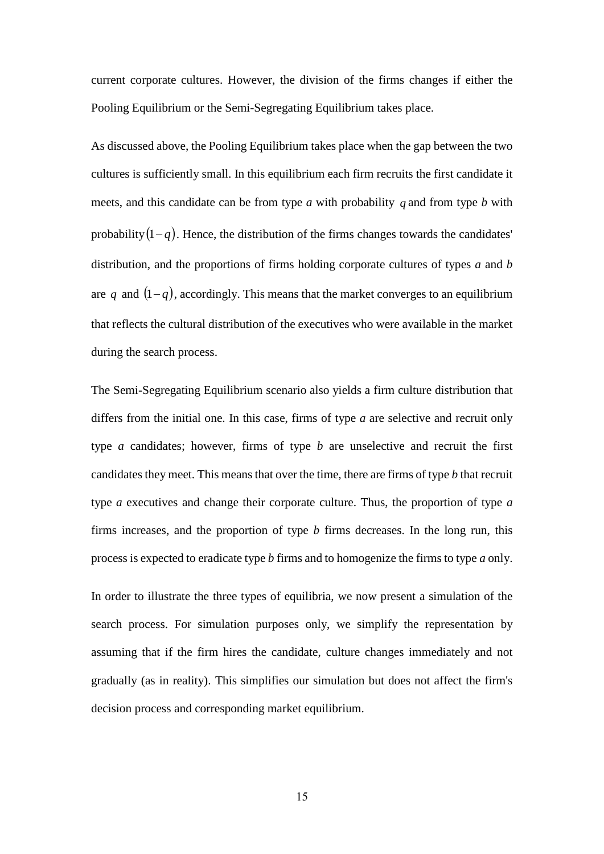current corporate cultures. However, the division of the firms changes if either the Pooling Equilibrium or the Semi-Segregating Equilibrium takes place.

As discussed above, the Pooling Equilibrium takes place when the gap between the two cultures is sufficiently small. In this equilibrium each firm recruits the first candidate it meets, and this candidate can be from type *a* with probability *q* and from type *b* with probability  $(1-q)$ . Hence, the distribution of the firms changes towards the candidates' distribution, and the proportions of firms holding corporate cultures of types *a* and *b* are q and  $(1-q)$ , accordingly. This means that the market converges to an equilibrium that reflects the cultural distribution of the executives who were available in the market during the search process.

The Semi-Segregating Equilibrium scenario also yields a firm culture distribution that differs from the initial one. In this case, firms of type *a* are selective and recruit only type *a* candidates; however, firms of type *b* are unselective and recruit the first candidates they meet. This means that over the time, there are firms of type *b* that recruit type *a* executives and change their corporate culture. Thus, the proportion of type *a* firms increases, and the proportion of type *b* firms decreases. In the long run, this process is expected to eradicate type *b* firms and to homogenize the firms to type *a* only.

In order to illustrate the three types of equilibria, we now present a simulation of the search process. For simulation purposes only, we simplify the representation by assuming that if the firm hires the candidate, culture changes immediately and not gradually (as in reality). This simplifies our simulation but does not affect the firm's decision process and corresponding market equilibrium.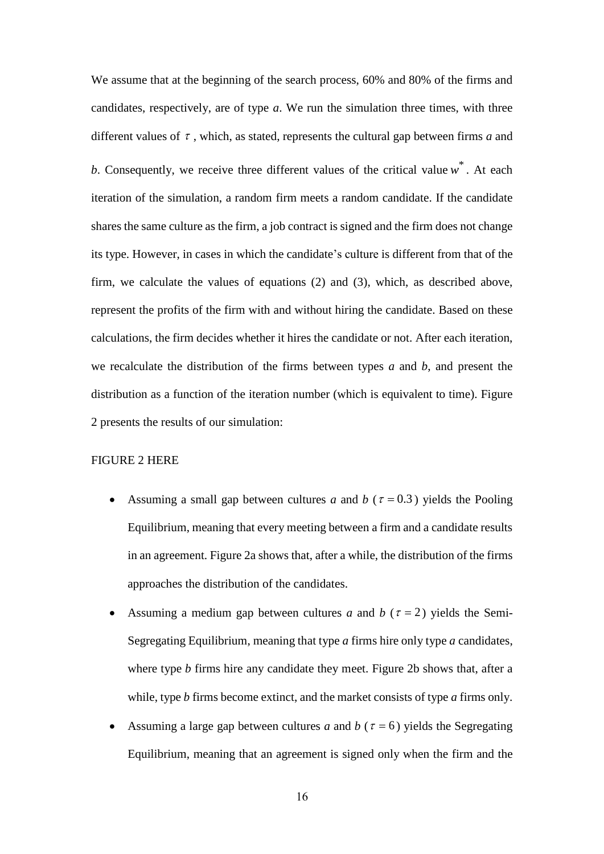We assume that at the beginning of the search process, 60% and 80% of the firms and candidates, respectively, are of type *a*. We run the simulation three times, with three different values of  $\tau$ , which, as stated, represents the cultural gap between firms  $a$  and b. Consequently, we receive three different values of the critical value  $w^*$ . At each iteration of the simulation, a random firm meets a random candidate. If the candidate shares the same culture as the firm, a job contract is signed and the firm does not change its type. However, in cases in which the candidate's culture is different from that of the firm, we calculate the values of equations (2) and (3), which, as described above, represent the profits of the firm with and without hiring the candidate. Based on these calculations, the firm decides whether it hires the candidate or not. After each iteration, we recalculate the distribution of the firms between types *a* and *b*, and present the distribution as a function of the iteration number (which is equivalent to time). Figure 2 presents the results of our simulation:

#### FIGURE 2 HERE

- Assuming a small gap between cultures *a* and *b* ( $\tau = 0.3$ ) yields the Pooling Equilibrium, meaning that every meeting between a firm and a candidate results in an agreement. Figure 2a shows that, after a while, the distribution of the firms approaches the distribution of the candidates.
- Assuming a medium gap between cultures *a* and *b* ( $\tau = 2$ ) yields the Semi-Segregating Equilibrium, meaning that type *a* firms hire only type *a* candidates, where type *b* firms hire any candidate they meet. Figure 2b shows that, after a while, type *b* firms become extinct, and the market consists of type *a* firms only.
- Assuming a large gap between cultures *a* and *b* ( $\tau = 6$ ) yields the Segregating Equilibrium, meaning that an agreement is signed only when the firm and the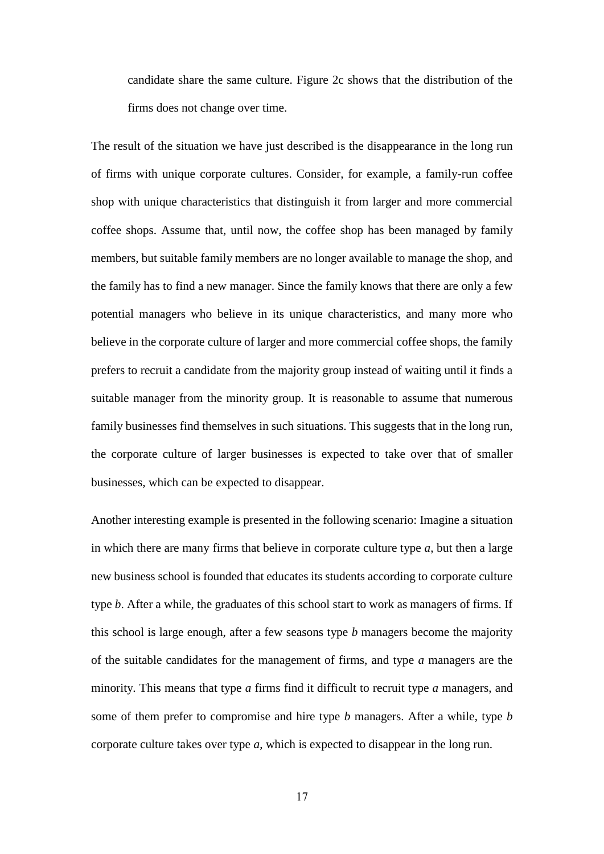candidate share the same culture. Figure 2c shows that the distribution of the firms does not change over time.

The result of the situation we have just described is the disappearance in the long run of firms with unique corporate cultures. Consider, for example, a family-run coffee shop with unique characteristics that distinguish it from larger and more commercial coffee shops. Assume that, until now, the coffee shop has been managed by family members, but suitable family members are no longer available to manage the shop, and the family has to find a new manager. Since the family knows that there are only a few potential managers who believe in its unique characteristics, and many more who believe in the corporate culture of larger and more commercial coffee shops, the family prefers to recruit a candidate from the majority group instead of waiting until it finds a suitable manager from the minority group. It is reasonable to assume that numerous family businesses find themselves in such situations. This suggests that in the long run, the corporate culture of larger businesses is expected to take over that of smaller businesses, which can be expected to disappear.

Another interesting example is presented in the following scenario: Imagine a situation in which there are many firms that believe in corporate culture type *a*, but then a large new business school is founded that educates its students according to corporate culture type *b*. After a while, the graduates of this school start to work as managers of firms. If this school is large enough, after a few seasons type *b* managers become the majority of the suitable candidates for the management of firms, and type *a* managers are the minority. This means that type *a* firms find it difficult to recruit type *a* managers, and some of them prefer to compromise and hire type *b* managers. After a while, type *b* corporate culture takes over type *a*, which is expected to disappear in the long run.

17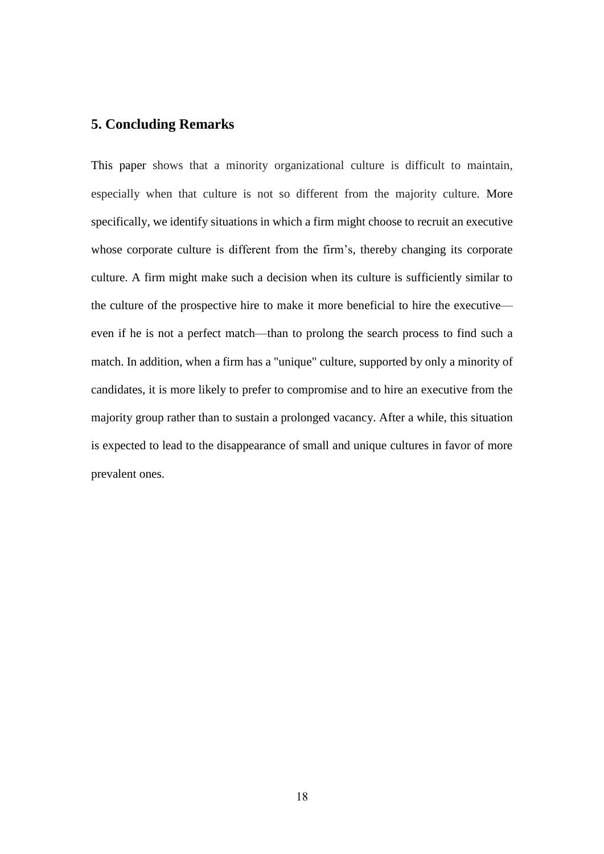### **5. Concluding Remarks**

This paper shows that a minority organizational culture is difficult to maintain, especially when that culture is not so different from the majority culture. More specifically, we identify situations in which a firm might choose to recruit an executive whose corporate culture is different from the firm's, thereby changing its corporate culture. A firm might make such a decision when its culture is sufficiently similar to the culture of the prospective hire to make it more beneficial to hire the executive even if he is not a perfect match—than to prolong the search process to find such a match. In addition, when a firm has a "unique" culture, supported by only a minority of candidates, it is more likely to prefer to compromise and to hire an executive from the majority group rather than to sustain a prolonged vacancy. After a while, this situation is expected to lead to the disappearance of small and unique cultures in favor of more prevalent ones.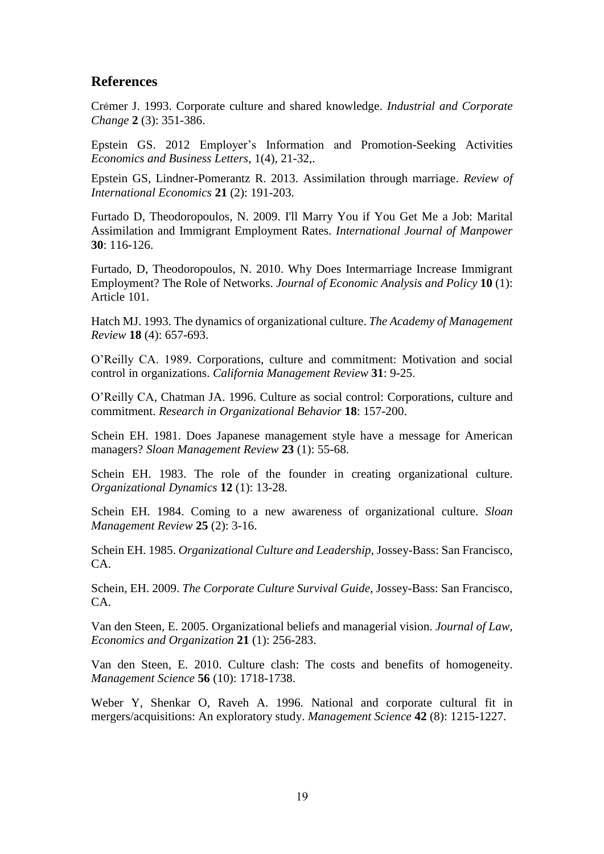#### **References**

Crémer J. 1993. Corporate culture and shared knowledge. *Industrial and Corporate Change* **2** (3): 351-386.

Epstein GS. 2012 Employer's Information and Promotion-Seeking Activities *Economics and Business Letters*, 1(4), 21-32,.

Epstein GS, Lindner-Pomerantz R. 2013. Assimilation through marriage. *Review of International Economics* **21** (2): 191-203.

Furtado D, Theodoropoulos, N. 2009. I'll Marry You if You Get Me a Job: Marital Assimilation and Immigrant Employment Rates. *International Journal of Manpower* **30**: 116-126.

Furtado, D, Theodoropoulos, N. 2010. Why Does Intermarriage Increase Immigrant Employment? The Role of Networks. *Journal of Economic Analysis and Policy* **10** (1): Article 101.

Hatch MJ. 1993. The dynamics of organizational culture. *The Academy of Management Review* **18** (4): 657-693.

O'Reilly CA. 1989. Corporations, culture and commitment: Motivation and social control in organizations. *California Management Review* **31**: 9-25.

O'Reilly CA, Chatman JA. 1996. Culture as social control: Corporations, culture and commitment. *Research in Organizational Behavior* **18**: 157-200.

Schein EH. 1981. Does Japanese management style have a message for American managers? *Sloan Management Review* **23** (1): 55-68.

Schein EH. 1983. The role of the founder in creating organizational culture. *Organizational Dynamics* **12** (1): 13-28.

Schein EH. 1984. Coming to a new awareness of organizational culture. *Sloan Management Review* **25** (2): 3-16.

Schein EH. 1985. *Organizational Culture and Leadership*, Jossey-Bass: San Francisco, CA.

Schein, EH. 2009. *The Corporate Culture Survival Guide*, Jossey-Bass: San Francisco, CA.

Van den Steen, E. 2005. Organizational beliefs and managerial vision. *Journal of Law, Economics and Organization* **21** (1): 256-283.

Van den Steen, E. 2010. Culture clash: The costs and benefits of homogeneity. *Management Science* **56** (10): 1718-1738.

Weber Y, Shenkar O, Raveh A. 1996. National and corporate cultural fit in mergers/acquisitions: An exploratory study. *Management Science* **42** (8): 1215-1227.